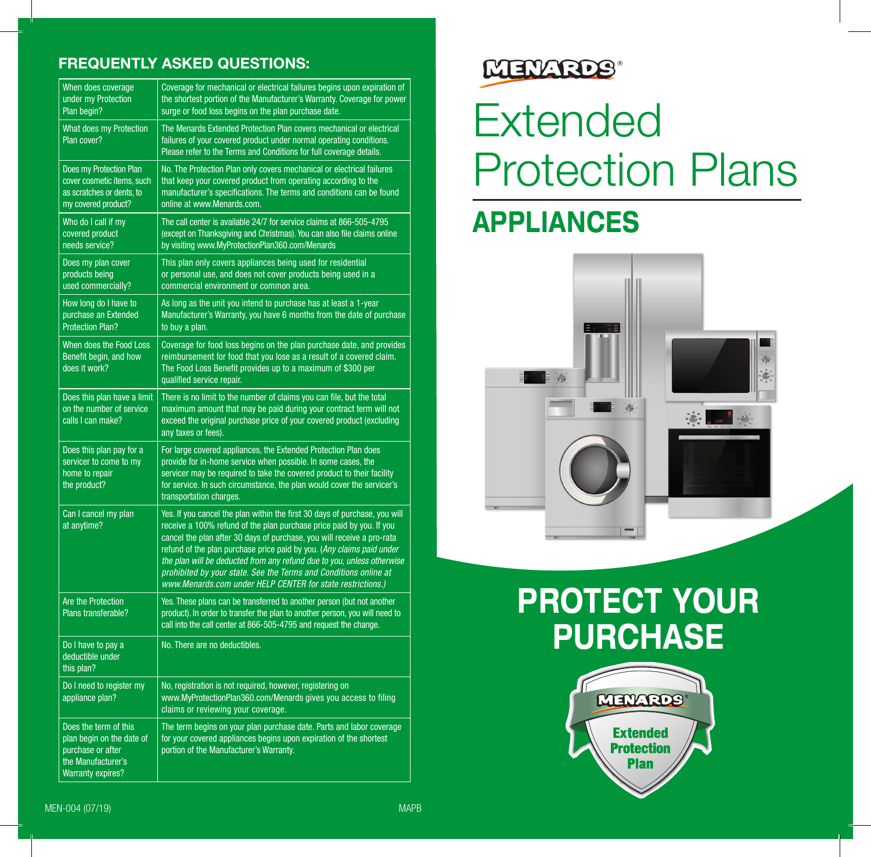#### FREQUENTLY ASKED QUESTIONS:

| When does coverage<br>under my Protection<br>Plan begin?                                                                  | Coverage for mechanical or electrical failures begins upon expiration of<br>the shortest portion of the Manufacturer's Warranty. Coverage for power<br>surge or food loss begins on the plan purchase date.                                                                                                                                                                                                                                                                                                       |
|---------------------------------------------------------------------------------------------------------------------------|-------------------------------------------------------------------------------------------------------------------------------------------------------------------------------------------------------------------------------------------------------------------------------------------------------------------------------------------------------------------------------------------------------------------------------------------------------------------------------------------------------------------|
| <b>What does my Protection</b><br>Plan cover?                                                                             | The Menards Extended Protection Plan covers mechanical or electrical<br>failures of your covered product under normal operating conditions.<br>Please refer to the Terms and Conditions for full coverage details.                                                                                                                                                                                                                                                                                                |
| Does my Protection Plan<br>cover cosmetic items, such<br>as scratches or dents, to<br>my covered product?                 | No. The Protection Plan only covers mechanical or electrical failures<br>that keep your covered product from operating according to the<br>manufacturer's specifications. The terms and conditions can be found<br>online at www.Menards.com.                                                                                                                                                                                                                                                                     |
| Who do I call if my<br>covered product<br>needs service?                                                                  | The call center is available 24/7 for service claims at 866-505-4795<br>(except on Thanksgiving and Christmas). You can also file claims online<br>by visiting www.MyProtectionPlan360.com/Menards                                                                                                                                                                                                                                                                                                                |
| Does my plan cover<br>products being<br>used commercially?                                                                | This plan only covers appliances being used for residential<br>or personal use, and does not cover products being used in a<br>commercial environment or common area.                                                                                                                                                                                                                                                                                                                                             |
| How long do I have to<br>purchase an Extended<br><b>Protection Plan?</b>                                                  | As long as the unit you intend to purchase has at least a 1-year<br>Manufacturer's Warranty, you have 6 months from the date of purchase<br>to buy a plan.                                                                                                                                                                                                                                                                                                                                                        |
| When does the Food Loss<br>Benefit begin, and how<br>does it work?                                                        | Coverage for food loss begins on the plan purchase date, and provides<br>reimbursement for food that you lose as a result of a covered claim.<br>The Food Loss Benefit provides up to a maximum of \$300 per<br>qualified service repair.                                                                                                                                                                                                                                                                         |
| Does this plan have a limit<br>on the number of service<br>calls I can make?                                              | There is no limit to the number of claims you can file, but the total<br>maximum amount that may be paid during your contract term will not<br>exceed the original purchase price of your covered product (excluding<br>any taxes or fees).                                                                                                                                                                                                                                                                       |
| Does this plan pay for a<br>servicer to come to my<br>home to repair<br>the product?                                      | For large covered appliances, the Extended Protection Plan does<br>provide for in-home service when possible. In some cases, the<br>servicer may be required to take the covered product to their facility<br>for service. In such circumstance, the plan would cover the servicer's<br>transportation charges.                                                                                                                                                                                                   |
| Can I cancel my plan<br>at anytime?                                                                                       | Yes. If you cancel the plan within the first 30 days of purchase, you will<br>receive a 100% refund of the plan purchase price paid by you. If you<br>cancel the plan after 30 days of purchase, you will receive a pro-rata<br>refund of the plan purchase price paid by you. (Any claims paid under<br>the plan will be deducted from any refund due to you, unless otherwise<br>prohibited by your state. See the Terms and Conditions online at<br>www.Menards.com under HELP CENTER for state restrictions.) |
| Are the Protection<br>Plans transferable?                                                                                 | Yes. These plans can be transferred to another person (but not another<br>product). In order to transfer the plan to another person, you will need to<br>call into the call center at 866-505-4795 and request the change.                                                                                                                                                                                                                                                                                        |
| Do I have to pay a<br>deductible under<br>this plan?                                                                      | No. There are no deductibles.                                                                                                                                                                                                                                                                                                                                                                                                                                                                                     |
| Do I need to register my<br>appliance plan?                                                                               | No, registration is not required, however, registering on<br>www.MyProtectionPlan360.com/Menards gives you access to filing<br>claims or reviewing your coverage.                                                                                                                                                                                                                                                                                                                                                 |
| Does the term of this<br>plan begin on the date of<br>purchase or after<br>the Manufacturer's<br><b>Warranty expires?</b> | The term begins on your plan purchase date. Parts and labor coverage<br>for your covered appliances begins upon expiration of the shortest<br>portion of the Manufacturer's Warranty.                                                                                                                                                                                                                                                                                                                             |

### MENARDS®

# Extended Protection Plans

### APPLIANCES



## PROTECT YOUR **PURCHASE**